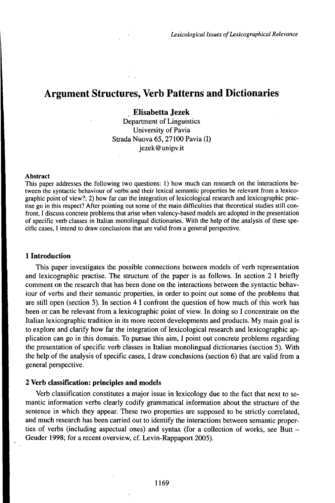# Argument Structures, Verb Patterns and Dictionaries

# **Elisabetta Jezek**

Department of Linguistics University of Pavia Strada Nuova 65,27100 Pavia (I) jezek@unipv.it

#### **Abstract**

This paper addresses the following two questions: 1) how much can research on the interactions between the syntactic behaviour of verbs; and their lexical semantic properties be relevant from a lexicographic point of view?; 2) how far can the integration of lexicological research and lexicographic practise go in this respect? After pointing out some of the main difficulties that theoretical studies still confront, I discuss concrete problems that arise when valency-based models are adopted in the presentation of specific verb classes in Italian monolingual dictionaries. With the help of the analysis of these specific cases, <sup>I</sup> intend to draw conclusions that are valid from a general perspective.

#### **1 Introduction**

This paper investigates the possible connections between models of verb representation and lexicographic practise. The structure of the paper is as follows. In section 2 I briefly comment on the research that has been done on the interactions between the syntactic behaviour of verbs and their semantic properties, in order to point out some of the problems that are still open (section 3). In section 4 I confront the question of how much of this work has been or can be relevant from a lexicographic point of view. In doing so I concentrate on the Italian lexicographic tradition in its more recent developments and products. My main goal is to explore and clarify how far the integration of lexicological research and lexicographic application can go in this domain. To pursue this aim, I point out concrete problems regarding the presentation of specific verb clàsses in Italian monolingual dictionaries (section 5). With the help of the analysis of specific cases, I draw conclusions (section 6) that are valid from a general perspective.

#### **2 Verb classification: principles and models**

Verb classification constitutes a major issue in lexicology due to the fact that next to semantic information verbs clearly codify grammatical information about the structure of the sentence in which they appear. These two properties are supposed to be strictly correlated, and much research has been carried out to identify the interactions between semantic properties of verbs (including aspectual ones) and syntax (for <sup>a</sup> collection of works, see Butt - Geuder 1998; for a recent overview, cf. Levin-Rappaport 2005).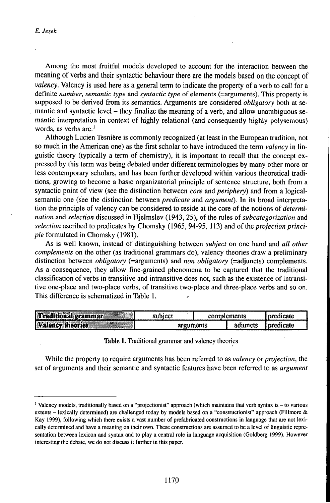Among the most fruitful models developed to account for the interaction between the meaning of verbs and their syntactic behaviour there are the models based on the concept of *valency.* Valency is used here as a general term to indicate the property of a verb to call for a definite *number, semantic type* and *syntactic type* of elements (=arguments). This property is supposed to be derived from its semantics. Arguments are considered *obligatory* both at semantic and syntactic level - they finalize the meaning of <sup>a</sup> verb, and allow unambiguous semantic interpretation in context of highly relational (and consequently highly polysemous) words, as verbs are.<sup>1</sup>

Although Lucien Tesnière is commonly recognized (at least in the European tradition, not so much in the American one) as the first scholar to have introduced the term *valency* in linguistic theory (typically a term of chemistry), it is important to recall that the concept expressed by this term was being debated under different terminologies by many other more or less contemporary scholars, and has been further developed within various theoretical traditions, growing to become a basic organizatorial principle of sentence structure, both from a syntactic point of view (see the distinction between *core* and *periphery)* and from a logicalsemantic one (see the distinction between *predicate* and *argument).* In its broad interpretation the principle of valency can be considered to reside at the core of the notions of *determination* and *selection* discussed in Hjelmslev (1943, 25), of the rules of *subcategorization* and selection ascribed to predicates by Chomsky (1965, 94-95, 113) and of the *projection principle* formulated in Chomsky (1981).

As is well known, instead of distinguishing between *subject* on one hand and *all other complements* on the other (as traditional grammars do), valency theories draw a preliminary distinction between *obligatory* (=arguments) and *non obligatory* (=adjuncts) complements. As a consequence, they allow fine-grained phenomena to be captured that the traditional classification of verbs in transitive and intransitive does not, such as the existence of intransitive one-place and two-place verbs, of transitive two-place and three-place verbs and so on. This difference is schematized in Table 1. *<sup>r</sup>*

| <b>WALLY-WAY</b><br>llin<br>raditional grammar | admeci  |                  | nlements | `cale. |
|------------------------------------------------|---------|------------------|----------|--------|
| <b>MARKETS</b><br><b>Wa</b><br>Nency Meannes   | ------- | <b>Quintents</b> | aduncts  | CAM    |

Table 1. Traditional grammar and valency theories

While the property to require arguments has been referred to as *valency* or *projection,* the set of arguments and their semantic and syntactic features have been referred to as *argument*

<sup>1</sup> Valency models, traditionally based on <sup>a</sup> "projectionist" approach (which maintains that verb syntax is -to various extents – lexically determined) are challenged today by models based on a "constructionist" approach (Fillmore  $\&$ Kay 1999), following which there exists a vast number of prefabricated constructions in language that are not lexically determined and have a meaning on their own. These constructions are assumed to be a level of linguistic representation between lexicon and syntax and to play a central role in language acquisition (Goldberg 1999). However interesting the debate, we do not discuss it further in this paper.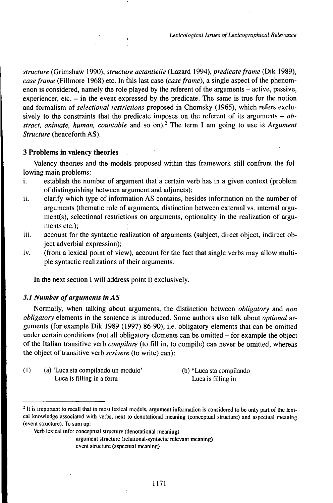*structure* (Grimshaw 1990), *structure actantielle* (Lazard 1994), *predicateframe* (Dik 1989), *case frame* (Fillmore 1968) etc. In this last case *(case frame)*, a single aspect of the phenomenon is considered, namely the role played by the referent of the arguments – active, passive, experiencer, etc. - in the event expressed by the predicate. The same is true for the notion and formalism *oiselectional restrictions* proposed in Chomsky (1965), which refers exclusively to the constraints that the predicate imposes on the referent of its arguments – *abstract, animate, human, countable* and so on).<sup>2</sup> The term I am going to use is *Argument Structure* (henceforth AS).

#### **3 Problems in valency theories**

Valency theories and the models proposed within this framework still confront the following main problems:

- i. establish the number of argument that a certain verb has in a given context (problem of distinguishing between argument and adjuncts);
- ii. clarify which type of information AS contains, besides information on the number of arguments (thematic role of arguments, distinction between external vs. internal argument(s), selectional restrictions on arguments, optionality in the realization of arguments etc.);
- iii. account for the syntactic realization of arguments (subject, direct object, indirect object adverbial expression);
- iv. (from a lexical point of view), account for the fact that single verbs may allow multiple syntactic realizations of their arguments.

In the next section I will address point i) exclusively.

#### *3.1 Number ofarguments in AS*

Normally, when talking about arguments, the distinction between *obligatory* and *non obligatory* elements in the sentence is introduced. Some authors also talk about *optional* arguments (for example Dik 1989 (1997) 86-90), i.e. obligatory elements that can be omitted under certain conditions (not all obligatory elements can be omitted – for example the object of the Italian transitive verb *compilare* (to fill in, to compile) can never be omitted, whereas the object of transitive verb *scrivere* (to write) can):

- (1) (a) 'Luca sta compilando un modulo' (b) \*Luca sta compilando Luca is filling in a form Luca is filling in
	-

argument structure (relational-syntactic relevant meaning)

<sup>&</sup>lt;sup>2</sup> It is important to recall that in most lexical models, argument information is considered to be only part of the lexical knowledge associated with verbs, next to denotational meaning (conceptual structure) and aspectual meaning (event structure). To sum up:

Verb lexical info: conceptual structure (denotational meaning)

event structure (aspectual meaning)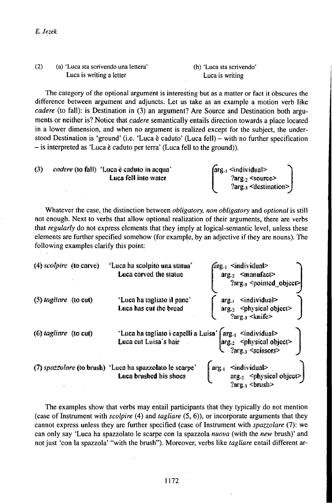| (2) | (a) 'Luca sta scrivendo una lettera' |
|-----|--------------------------------------|
|     | Luca is writing a letter             |

(b) 'Luca sta scrivendo' Luca is writing

The category of the optional argument is interesting but as a matter or fact it obscures the difference between argument and adjuncts. Let us take as an example a motion verb like cadere (to fall): is Destination in (3) an argument? Are Source and Destination both arguments or neither is? Notice that *cadere* semantically entails direction towards a place located in a lower dimension, and when no argument is realized except for the subject, the understood Destination is 'ground' (i.e. 'Luca è caduto' (Luca fell) – with no further specification  $-$  is interpreted as 'Luca è caduto per terra' (Luca fell to the ground)).

| (3) | cordere (to fall) 'Luca è caduto in acqua' | $\int \frac{d}{dx}$ $\sin \left( \frac{d}{dx} \right)$ |  |
|-----|--------------------------------------------|--------------------------------------------------------|--|
|     | Luça fell into water                       | $2\arg a$ <source/>                                    |  |
|     |                                            | Para - celectination > L                               |  |

Whatever the case, the distinction between obligatory, non obligatory and optional is still not enough. Next to verbs that allow optional realization of their arguments, there are verbs that regularly do not express elements that they imply at logical-semantic level, unless these elements are further specified somehow (for example, by an adjective if they are nouns). The following examples clarify this point:

| $(4)$ scolpire (to carve)         | "Luca ha scolpito una statua"<br>Luca carved the statue                            | $f$ arg. <sub>1</sub> <individual><br/>arg.2 <manufact><br/><math>2\arg_{13}</math> <pointed object=""></pointed></manufact></individual>                       |
|-----------------------------------|------------------------------------------------------------------------------------|-----------------------------------------------------------------------------------------------------------------------------------------------------------------|
| $(5)$ tagliare $(10 \text{ cut})$ | 'Luca ha tagliato il pane'<br>Luca has cut the bread                               | <individual><br/><math>arg-1</math><br/><math>arg_2</math> <physical object=""><br/><math>2\arg z_3 \leq \text{kni}</math>fe&gt;</physical></individual>        |
| (6) lagliare (to cut)             | 'Luca ha tagliato i capelli a Luisa'<br>Luca cut Luisa's hair                      | <individual><br/><math>\arg_{r1}</math><br/><math> \arg z  &lt;</math>physical object<math>\geq</math><br/><math>2arg_{13} \leq</math>scissors&gt;</individual> |
|                                   | (7) spazzolare (to brush) 'Luca ha spazzolato le scarpe'<br>Luca brushed his shoes | <individual><br/>arg.<br/><math>arg_{z_2}</math> <physical object=""><br/><math>2arg_{13}</math> <brush></brush></physical></individual>                        |

The examples show that verbs may entail participants that they typically do not mention (case of Instrument with scolpire (4) and tagliare (5, 6)), or incorporate arguments that they cannot express unless they are further specified (case of Instrument with spazzolare (7): we can only say 'Luca ha spazzolato le scarpe con la spazzola *nuova* (with the *new* brush)' and not just 'con la spazzola' "with the brush"). Moreover, verbs like *tagliare* entail different ar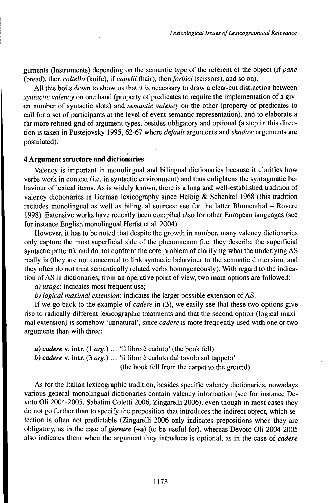guments (Instruments) depending on the semantic type of the referent of the object (if *pane* (bread), then *coltello* (knife), if *capelli* (hair), then *forbici* (scissors), and so on).

All this boils down to show us that it is necessary to draw a clear-cut distinction between *syntactic valency* on one hand (property of predicates to require the implementation of a given number of syntactic slots) and *semantic valency* on the other (property of predicates to call for a set of participants at the level of event semantic representation), and to elaborate a far more refined grid of argument types, besides obligatory and optional (a step in this direction is taken in Pustejovsky 1995, 62-67 where *default* arguments and *shadow* arguments are postulated).

## **4 Argument structure and dictionaries**

Valency is important in monolingual and bilingual dictionaries because it clarifies how verbs work in context (i.e. in syntactic environment) and thus enlightens the syntagmatic behaviour of lexical items. As is widely known, there is a long and well-established tradition of valency dictionaries in German lexicography since Helbig & Schenkel 1968 (this tradition includes monolingual as well as bilingual sources: see for the latter Blumenthal  $-$  Rovere 1998). Extensive works have recently been compiled also for other European languages (see for instance English monolingual Herfst et al. 2004).

However, it has to be noted that despite the growth in number, many valency dictionaries only capture the most superficial side of the phenomenon (i.e. they describe the superficial syntactic pattern), and do not confront the core problem of clarifying what the underlying AS really is (they are not concerned to link syntactic behaviour to the semantic dimension, and they often do not treat semantically related verbs homogeneously). With regard to the indication of AS in dictionaries, from an operative point of view, two main options are followed:

*a) usage:* indicates most frequent use;

*b) logical maximal extension:* indicates the larger possible extension ofAS.

If we go back to the example of *cadere* in (3), we easily see that these two options give rise to radically different lexicographic treatments and that the second option (logical maximal extension) is somehow 'unnatural', since *cadere* is more frequently used with one or two arguments than with three:

*a) cadere* **v. intr.** (1 *arg.)...* 'il libro <sup>è</sup> caduto' (the book fell) *b) cadere* v. **intr.** (3 *arg.)...* 'il libro <sup>è</sup> caduto dal tavolo sul tappeto' (the book fell from the carpet to the ground)

As for the Italian lexicographic tradition, besides specific valency dictionaries, nowadays various general monolingual dictionaries contain valency information (see for instance Devoto Oli 2004-2005, Sabatini Coletti 2006, Zingarelli 2006), even though in most cases they do not go further than to specify the preposition that introduces the indirect object, which selection is often not predictable (Zingarelli 2006 only indicates prepositions when they are obligatory, as in the case of *giovare* (+a) (to be useful for), whereas Devoto-Oli 2004-2005 also indicates them when the argument they introduce is optional, as in the case of *cadere*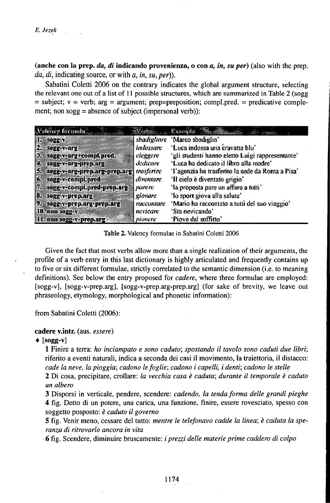(anche con la prep. da, di indicando provenienza, o con  $a$ , in, su per) (also with the prep.  $da. di.$  indicating source, or with  $a, in, su, per$ ).

Sabatini Coletti 2006 on the contrary indicates the global argument structure, selecting the relevant one out of a list of 11 possible structures, which are summarized in Table 2 (so  $g$ = subject;  $v =$  verb;  $arg = argument$ ; prep=preposition; compl.pred. = predicative complement; non  $sogg = absence$  of subject (impersonal verb)):

| Valency formulation and the     |                         | Werbs Example <b>Residents</b>                   |
|---------------------------------|-------------------------|--------------------------------------------------|
| $\mathbf{1.}$ sogg-v            | sbadigliare             | 'Marco sbadiglia'                                |
| 12.<br>SOPP-V-are               | indossare               | 'Luca indossa una cravatta blu'                  |
| 3. sogg-v-arg+compLpred.        | eleggene                | 'gli studenti hanno eletto Luigi rappresentante' |
| 4. sogg-v-arg-prep.arg          | dedicare :              | 'Luca ha dedicato il libro alla madre'           |
| 5. sogg-v-arg-prep.arg-prep.arg | <i><b>Insferire</b></i> | 'l'agenzia ha trasferito la sede da Roma a Pisa' |
| 6. sogg-v-compl.pred            | diventare               | 'Il cielo è diventato grigio'                    |
| 7. sogg-v-compl.pred-prep.arg   | <b>KIRR</b>             | 'la proposta pare un affare a tutti'             |
| 8. sogg-v-prep.arg              | giovare                 | 'lo sport giova alla salute'                     |
| 9. sogg-v-prep.arg-prep.arg     | raccontare              | 'Mario ha raccontato a tutti del suo viaggio'    |
| 10. non sogg-v                  | nevicare                | 'Sta nevicando'                                  |
| 11. non sogg-v-prep.arg         | piovere                 | 'Piove dal soffitto'                             |

Table 2. Valency formulae in Sabatini Coletti 2006

Given the fact that most verbs allow more than a single realization of their arguments, the profile of a verb entry in this last dictionary is highly articulated and frequently contains up to five or six different formulae, strictly correlated to the semantic dimension (i.e. to meaning definitions). See below the entry proposed for *cadere*, where three formulae are employed: [sogg-v], [sogg-v-prep.arg], [sogg-v-prep.arg-prep.arg] (for sake of brevity, we leave out phraseology, etymology, morphological and phonetic information):

from Sabatini Coletti (2006):

#### cadere v.intr. (aus. essere)

#### $\bullet$  [sogg-v]

1 Finire a terra: ho inciampato e sono caduto; spostando il tavolo sono caduti due libri; riferito a eventi naturali, indica a seconda dei casi il movimento, la traiettoria, il distacco: cade la neve, la pioggia; cadono le foglie; cadono i capelli, i denti; cadono le stelle 2 Di cosa, precipitare, crollare: la vecchia casa è caduta; durante il temporale è caduto un albero

3 Disporsi in verticale, pendere, scendere: cadendo, la tenda forma delle grandi pieghe 4 fig. Detto di un potere, una carica, una funzione, finire, essere rovesciato, spesso con soggetto posposto: è caduto il governo

5 fig. Venir meno, cessare del tutto: mentre le telefonavo cadde la linea; è caduta la speranza di ritrovarlo ancora in vita

6 fig. Scendere, diminuire bruscamente: i prezzi delle materie prime caddero di colpo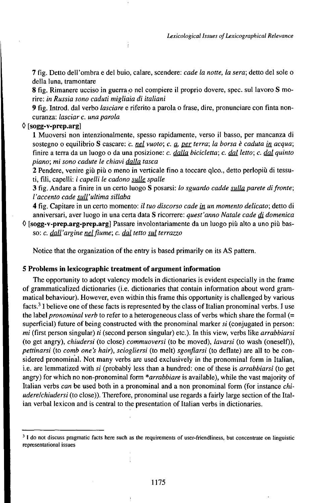7 fig. Detto dell'ombra e del buio, calare, scendere: *cade la notte, la sera;* detto del sole o della luna, tramontare

8 fig. Rimanere ucciso in guerra o nel compiere il proprio dovere, spec. sul lavoro S morire: *in Russia sono caduti migliaia di italiani*

9 fig. Introd. dal verbo *lasciare* e riferito a parola o frase, dire, pronunciare con finta noncuranza: *lasciar c. una parola*

# $\Diamond$  [sogg-v-prep.arg]

1 Muoversi non intenzionalmente, spesso rapidamente, verso il basso, per mancanza di sostegno o equilibrio S cascare: *c. nd vuoto; c. Q, ger terra; la borsa è caduta in acqua;* finire a terra da un luogo o da una posizione: *c. dalla bicicletta; c. dal letto; c. dai quinto piano; mi sono cadute le chiavi dalla tasca*

*2* Pendere, venire giù più o meno in verticale fino a toccare qlco., detto perlopiù di tessuti, fili, capelli: *i capelli le cadono sulle spalle*

3 fig. Andare a finire in un certo luogo S posarsi: *lo sguardo cadde sulla parete difronte; l'accento cade sull'ultima sillaba*

<sup>4</sup> fig. Capitare in un certo momento: *il tuo discorso cade • un momento delicato;* detto di anniversari, aver luogo in una certa data S ricorrere: *quest'anno Natale cade di domenica* 

0 **[sogg-v-prep.arg-prep.arg]** Passare involontariamente da un luogo più alto a uno più basso: *c. dall'argine ndfiume; c. dai tetto sui terrazzo*

Notice that the organization of the entry is based primarily on its AS pattern.

## **5 Problems in lexicographic treatment of argument information**

The opportunity to adopt valency models in dictionaries is evident especially in the frame of grammaticalized dictionaries (i.e. dictionaries that contain information about word grammatical behaviour). However, even within this frame this opportunity is challenged by various facts.<sup>3</sup> I believe one of these facts is represented by the class of Italian pronominal verbs. I use the label *pronominal verb* to refer to a heterogeneous class of verbs which share the formal (= superficial) future of being constructed with the pronominal marker *si* (conjugated in person: *mi* (first person singular) *ti* (second person singular) etc.). In this view, verbs like *arrabbiarsi* (to get angry), *chiudersi* (to close) *commuoversi* (to be moved), *lavarsi* (to wash (oneself)), *pettinarsi* (to *comb one's hair), sciogliersi* (to melt) *sgonfiarsi* (to deflate) are all to be considered pronominal. Not many verbs are used exclusively in the pronominal form in Italian, i.e. are lemmatized with *si* (probably less than a hundred: one of these is *arrabbiarsi* (to get angry) for which no non-pronominal form *\*arrabbiare* is available), while the vast majority of Italian verbs *can* be used both in a pronominal and a non pronominal form (for instance *chiudere/chiudersi* (to close)). Therefore, pronominal use regards a fairly large section of the Italian verbal lexicon and is central to the presentation of Italian verbs in dictionaries.

<sup>&</sup>lt;sup>3</sup> I do not discuss pragmatic facts here such as the requirements of user-friendliness, but concentrate on linguistic representational issues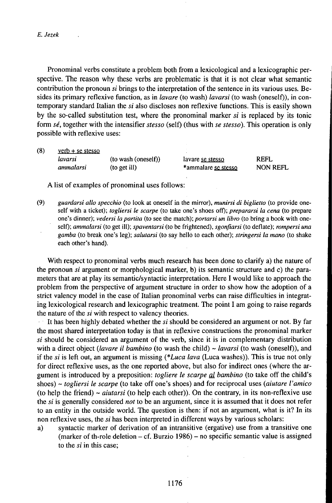*E. Jezek*

Pronominal verbs constitute a problem both from a lexicological and a lexicographic perspective. The reason why these verbs are problematic is that it is not clear what semantic contribution the pronoun *si* brings to the interpretation of the sentence in its various uses. Besides its primary reflexive function, as in *lavare* (to wash) *lavarsi* (to wash (oneself)), in contemporary standard Italian the *si* also discloses non reflexive functions. This is easily shown by the so-called substitution test, where the pronominal marker *si* is replaced by its tonic form *sé,* together with the intensifier *stesso* (self) (thus with *se stesso).* This operation is only possible with reflexive uses:

 $(8)$  verb + se stesso *lavarsi* (to wash (oneself)) lavare se stesso REFL *ammalarsi* (to get ill) \*ammalare se stesso NONREFL

A list of examples of pronominal uses follows:

(9) *guardarsi allo specchio* (to look at oneself in the mirror), *munirsi di biglietto* (to provide oneself with a ticket); *togliersi le scarpe* (to take one's shoes off); *prepararsi la cena* (to prepare one's dinner); *vedersi la partita* (to see the match); *portarsi un libro* (to bring a book with oneself); *ammalarsi* (to get ill); *spaventarsi* (to be frightened), *sgonfiarsi* (to deflate); *rompersi una gamba* (to break one's leg); *salutarsi* (to say hellò to each other); *stringersi la mano* (to shake each other's hand).

With respect to pronominal verbs much research has been done to clarify a) the nature of the pronoun *si* argument or morphological marker, b) its semantic structure and c) the parameters that are at play its semantic/syntactic interpretation. Here I would like to approach the problem from the perspective of argument structure in order to show how the adoption of a strict valency model in the case of Italian pronominal verbs can raise difficulties in integrating lexicological research and lexicographic treatment. The point I am going to raise regards the nature of the *si* with respect to valency theories.

It has been highly debated whether the *si* should be considered an argument or not. By far the most shared interpretation today is that in reflexive constructions the pronominal marker *si* should be considered an argument of the verb, since it is in complementary distribution with a direct object *{lavare il bambino* (to wash the child) ~ *lavarsi* (to wash (oneself)), and if the *si* is left out, an argument is missing *(\*Luca lava* (Luca washes)). This is true not only for direct reflexive uses, as the one reported above, but also for indirect ones (where the argument is introduced by a preposition: *togliere le scarpe al bambino* (to take off the child's shoes) ~ *togliersi le scarpe* (to take off one's shoes) and for reciprocal uses *(aiutare l'amico* (to help the friend)  $\sim$  *aiutarsi* (to help each other)). On the contrary, in its non-reflexive use the *si* is generally considered *not* to be an argument, since it is assumed that it does not refer to an entity in the outside world. The question is then: if not an argument, what is it? In its non reflexive uses, the *si* has been interpreted in different ways by various scholars:

a) syntactic marker of derivation of an intransitive (ergative) use from a transitive one (marker of th-role deletion  $-$  cf. Burzio 1986)  $-$  no specific semantic value is assigned to the *si* in this case;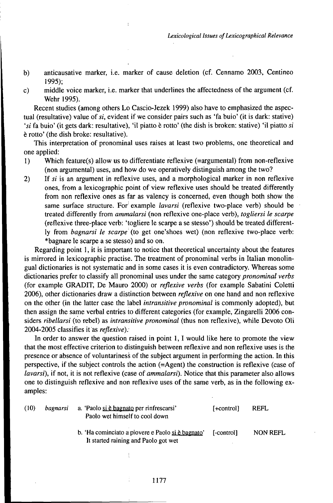- b) anticausative marker, i.e. marker of cause deletion (cf. Cennamo 2003, Centineo 1995);
- c) middle voice marker, i.e. marker that underlines the affectedness of the argument (cf. Wehr 1995).

Recent studies (among others Lo Cascio-Jezek 1999) also have to emphasized the aspectual (resultative) value of si, evident if we consider pairs such as 'fa buio' (it is dark: stative) *'si* fa buio' (it gets dark: resultative), 'il piatto è rotto' (the dish is broken: stative) 'il piatto *si* è rotto' (the dish broke: resultative).

This interpretation of pronominal uses raises at least two problems, one theoretical and one applied:

- 1) Which feature(s) allow us to differentiate reflexive (=argumental) from non-reflexive (non argumentai) uses, and how do we operatively distinguish among the two?
- 2) If *si* is an argument in reflexive uses, and a morphological marker in non reflexive ones, from a lexicographic point of view reflexive uses should be treated differently from non reflexive ones as far as valency is concerned, even though both show the same surface structure. For example *lavarsi* (reflexive two-place verb) should be treated differently from *ammalarsi* (non reflexive one-place verb), *togliersi le scarpe* (reflexive three-place verb: 'togliere le scarpe a se stesso') should be treated differently from *bagnarsi le scarpe* (to get one'shoes wet) (non reflexive two-place verb: \*bagnare le scarpe a se stesso) and so on.

Regarding point 1, it is important to notice that theoretical uncertainty about the features is mirrored in lexicographic practise. The treatment of pronominal verbs in Italian monolingual dictionaries is not systematic and in some cases it is even contradictory. Whereas some dictionaries prefer to classify all pronominal uses under the same category *pronominal verbs* (for example GRADIT, De Mauro 2000) or *reflexive verbs* (for example Sabatini Coletti 2006), other dictionaries draw a distinction between *reflexive* on one hand and non reflexive on the other (in the latter case the label *intransitive pronominal* is commonly adopted), but then assign the same verbal entries to different categories (for example, Zingarelli 2006 considers *ribellarsi* (to rebel) as *intransitive pronominal* (thus non reflexive), while Devoto Oli 2004-2005 classifies it as *reflexive):*

In order to answer the question raised in point  $1$ , I would like here to promote the view that the most effective criterion to distinguish between reflexive and non reflexive uses is the presence or absence of voluntariness of the subject argument in performing the action. In this perspective, if the subject controls the action (=Agent) the construction is reflexive (case of *lavarsi),* if not, it is not reflexive (case of *ammalarsi).* Notice that this parameter also allows one to distinguish reflexive and non reflexive uses of the same verb, as in the following examples:

| (10) | bagnarsi | a. 'Paolo si è bagnato per rinfrescarsi'<br>Paolo wet himself to cool down                | [+control] | <b>REFL</b>     |
|------|----------|-------------------------------------------------------------------------------------------|------------|-----------------|
|      |          | b. 'Ha cominciato a piovere e Paolo si è bagnato'<br>It started raining and Paolo got wet | [-control] | <b>NON REFL</b> |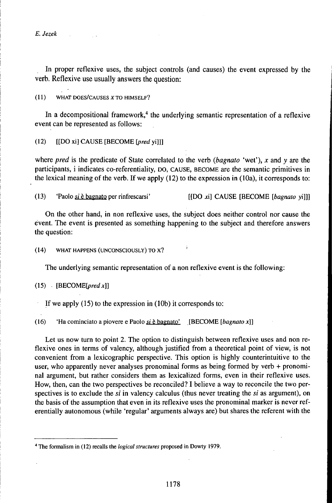*E. Jezek*

In proper reflexive uses, the subject controls (and causes) the event expressed by the verb. Reflexive use usually answers the question:

( 11 ) WHAT DOES/CAUSES *X* TO HlMSELF?

In a decompositional framework,<sup>4</sup> the underlying semantic representation of a reflexive event can be represented as follows:

(12) [[DO xi] CAUSE [BECOME *fyred* yi]]]

where *pred* is the predicate of State correlated to the verb *(bagnato* 'wet'), *x* and *y* are the participants, i indicates co-referentiality, DO, CAUSE, BECOME are the semantic primitives in the lexical meaning of the verb. If we apply (12) to the expression in (10a), it corresponds to:

(13) 'Paolo *si* è bagnato per rinfrescarsi' [[DO xi] CAUSE [BECOME [*bagnato* yi]]]

On the other hand, in non reflexive uses, the subject does neither control nor cause the évent. The event is presented as something happening to the subject and therefore answers the question:

(14) WHAT HAPPENS (UNCONSCIOUSLY) TO X?

The underlying semantic representation of a non reflexive event is the following:

 $(15)$  [BECOME[pred x]]

If we apply (15) to the expression in (10b) it corresponds to:

( 16) 'Ha cominciato a piovere e Paolo *si* è bagnato' , [BECOME *[bagnato x]]*

Let us now turn to point 2. The option to distinguish between reflexive uses and non reflexive ones in terms of valency, although justified from a theoretical point of view, is not convenient from a lexicographic perspective. This option is highly counterintuitive to the user, who apparently never analyses pronominal forms as being formed by verb + pronominal argument, but rather considers them as lexicalized forms, even in their reflexive uses. How, then, can the two perspectives be reconciled? I believe a way to reconcile the two perspectives is to exclude the si in valency calculus (thus never treating the *si* as argument), on the basis of the assumption that even in its reflexive uses the pronominal marker is never referentially autonomous (while 'regular' arguments always are) but shares the referent with the

<sup>4</sup> The formalism in (12) recalls the *logical structures* proposed in Dowty 1979.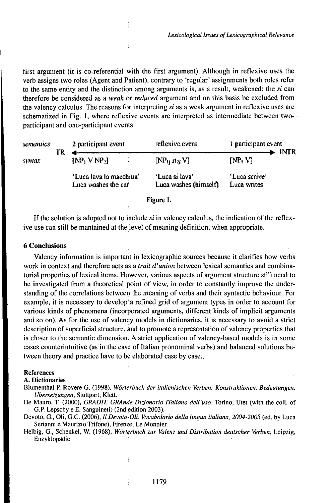first argument (it is co-referential with the first argument). Although in reflexive uses the verb assigns two roles (Agent and Patient), contrary to 'regular' assignments both roles refer to the same entity and the distinction among arguments is, as a result, weakened: the *si* can therefore be considered as a *weak* or *reduced* argument and on this basis be excluded from the valency calculus. The reasons for interpreting *si* as a weak argument in reflexive uses are schematized in Fig. 1, where reflexive events are interpreted as intermediate between twoparticipant and one-participant events:

| semantics |    | 2 participant event                            | reflexive event                         | 1 participant event                |  |
|-----------|----|------------------------------------------------|-----------------------------------------|------------------------------------|--|
| symax     | TR | $[NP_1 VNP_2]$                                 | $[NP_1; st_{2i} V]$                     | <b>INTR</b><br>[NP <sub>i</sub> V] |  |
|           |    | 'Luca lava la macchina'<br>Luca washes the car | 'Luca si lava'<br>Luca washes (himself) | 'Luca scrive'<br>Luca writes       |  |
|           |    |                                                | Figure 1.                               |                                    |  |

If the solution is adopted not to include *si* in valency calculus, the indication of the reflexive use can still be mantained at the level of meaning definition, when appropriate.

#### 6 Conclusions

Valency information is important in lexicographic sources because it clarifies how verbs work in context and therefore acts as a *trait d'union* between lexical semantics and combinatorial properties of lexical items. However, various aspects of argument structure still need to be investigated from a theoretical point of view, in order to constantly improve the understanding of the correlations between the meaning of verbs and their syntactic behaviour. For example, it is necessary to develop a refined grid of argument types in order to account for various kinds of phenomena (incorporated arguments, different kinds of implicit arguments and so on). As for the use of valency models in dictionaries, it is necessary to avoid a strict description of superficial structure, and to promote a representation of valency properties that is closer to the semantic dimension. A strict application of valency-based models is in some cases counterintuitive (as in the case of Italian pronominal verbs) and balanced solutions between theory and practice have to be elaborated case by case..

#### References

## A. Dictionaries

Blumenthal P.-Rovere G. (1998), *Wörterbuch der italienischen Verben: Konstruktionen, Bedeutungen, Übersetzungen,* Stuttgart, Klett.

De Mauro, T. (2000), *GRADlT, GRAnde Dizionario lTaliano dell'uso,* Torino, Utet (with the coll. of G.P. Lepschy e E. Sanguineti) (2nd edition 2003).

Devoto, G., Oli, G.C. (2006), // *Devoto-Oli. Vocabolario della lingua italiana, 2004-2005* (ed. by Luca Serianni e Maurizio Trifone), Firenze, Le Monnier.

Helbig, G., Schenkel, W. (1968), *Wörterbuch zur Valenz undDistribution deutscher Verben,* Leipzig, Enzyklopädie